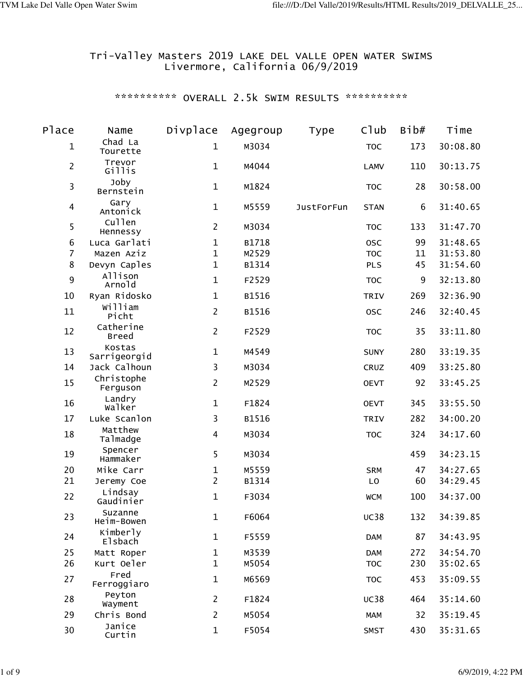### Tri-Valley Masters 2019 LAKE DEL VALLE OPEN WATER SWIMS Livermore, California 06/9/2019

# \*\*\*\*\*\*\*\*\*\* OVERALL 2.5k SWIM RESULTS \*\*\*\*\*\*\*\*\*\*\*

| Place          | Name                      | Divplace       | Agegroup | Type              | C1ub        | Bib# | Time     |
|----------------|---------------------------|----------------|----------|-------------------|-------------|------|----------|
| $\mathbf 1$    | Chad La<br>Tourette       | $\mathbf{1}$   | M3034    |                   | <b>TOC</b>  | 173  | 30:08.80 |
| $\overline{2}$ | Trevor<br>Gillis          | $\mathbf{1}$   | M4044    |                   | <b>LAMV</b> | 110  | 30:13.75 |
| 3              | Joby<br>Bernstein         | $\mathbf 1$    | M1824    |                   | <b>TOC</b>  | 28   | 30:58.00 |
| 4              | Gary<br>Antonick          | $\mathbf{1}$   | M5559    | <b>JustForFun</b> | <b>STAN</b> | 6    | 31:40.65 |
| 5              | Cullen<br>Hennessy        | $\overline{2}$ | M3034    |                   | <b>TOC</b>  | 133  | 31:47.70 |
| 6              | Luca Garlati              | $\mathbf{1}$   | B1718    |                   | <b>OSC</b>  | 99   | 31:48.65 |
| $\overline{7}$ | Mazen Aziz                | $\mathbf{1}$   | M2529    |                   | <b>TOC</b>  | 11   | 31:53.80 |
| 8              | Devyn Caples              | $\mathbf{1}$   | B1314    |                   | <b>PLS</b>  | 45   | 31:54.60 |
| 9              | Allison<br>Arnold         | $\mathbf{1}$   | F2529    |                   | <b>TOC</b>  | 9    | 32:13.80 |
| 10             | Ryan Ridosko              | $\mathbf{1}$   | B1516    |                   | <b>TRIV</b> | 269  | 32:36.90 |
| 11             | william<br>Picht          | $\overline{2}$ | B1516    |                   | 0SC         | 246  | 32:40.45 |
| 12             | Catherine<br><b>Breed</b> | $\overline{2}$ | F2529    |                   | <b>TOC</b>  | 35   | 33:11.80 |
| 13             | Kostas<br>Sarrigeorgid    | $\mathbf{1}$   | M4549    |                   | <b>SUNY</b> | 280  | 33:19.35 |
| 14             | Jack Calhoun              | 3              | M3034    |                   | CRUZ        | 409  | 33:25.80 |
| 15             | Christophe<br>Ferguson    | $\overline{2}$ | M2529    |                   | <b>OEVT</b> | 92   | 33:45.25 |
| 16             | Landry<br>Walker          | $\mathbf{1}$   | F1824    |                   | <b>OEVT</b> | 345  | 33:55.50 |
| 17             | Luke Scanlon              | 3              | B1516    |                   | <b>TRIV</b> | 282  | 34:00.20 |
| 18             | Matthew<br>Talmadge       | 4              | M3034    |                   | <b>TOC</b>  | 324  | 34:17.60 |
| 19             | Spencer<br>Hammaker       | 5              | M3034    |                   |             | 459  | 34:23.15 |
| 20             | Mike Carr                 | $\mathbf 1$    | M5559    |                   | <b>SRM</b>  | 47   | 34:27.65 |
| 21             | Jeremy Coe                | $\overline{2}$ | B1314    |                   | LO          | 60   | 34:29.45 |
| 22             | Lindsay<br>Gaudinier      | $\mathbf{1}$   | F3034    |                   | <b>WCM</b>  | 100  | 34:37.00 |
| 23             | Suzanne<br>Heim-Bowen     | $\mathbf{1}$   | F6064    |                   | <b>UC38</b> | 132  | 34:39.85 |
| 24             | Kimberly<br>Elsbach       | $\mathbf{1}$   | F5559    |                   | <b>DAM</b>  | 87   | 34:43.95 |
| 25             | Matt Roper                | $\mathbf{1}$   | M3539    |                   | <b>DAM</b>  | 272  | 34:54.70 |
| 26             | Kurt Oeler                | $\mathbf{1}$   | M5054    |                   | <b>TOC</b>  | 230  | 35:02.65 |
| 27             | Fred<br>Ferroggiaro       | $\mathbf{1}$   | M6569    |                   | <b>TOC</b>  | 453  | 35:09.55 |
| 28             | Peyton<br>Wayment         | $\overline{2}$ | F1824    |                   | <b>UC38</b> | 464  | 35:14.60 |
| 29             | Chris Bond                | $\overline{2}$ | M5054    |                   | <b>MAM</b>  | 32   | 35:19.45 |
| 30             | Janice<br>Curtin          | $\mathbf{1}$   | F5054    |                   | <b>SMST</b> | 430  | 35:31.65 |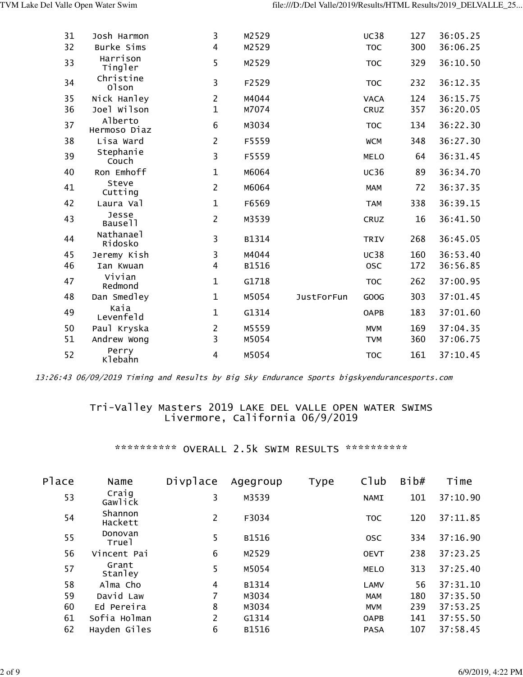| 31 | Josh Harmon                  | 3              | M2529 |                   | <b>UC38</b> | 127 | 36:05.25 |
|----|------------------------------|----------------|-------|-------------------|-------------|-----|----------|
| 32 | Burke Sims                   | $\overline{4}$ | M2529 |                   | <b>TOC</b>  | 300 | 36:06.25 |
| 33 | Harrison<br>Tingler          | 5              | M2529 |                   | <b>TOC</b>  | 329 | 36:10.50 |
| 34 | Christine<br>01son           | 3              | F2529 |                   | <b>TOC</b>  | 232 | 36:12.35 |
| 35 | Nick Hanley                  | $\overline{2}$ | M4044 |                   | <b>VACA</b> | 124 | 36:15.75 |
| 36 | Joel Wilson                  | $\mathbf{1}$   | M7074 |                   | CRUZ        | 357 | 36:20.05 |
| 37 | Alberto<br>Hermoso Diaz      | 6              | M3034 |                   | <b>TOC</b>  | 134 | 36:22.30 |
| 38 | Lisa Ward                    | $\overline{2}$ | F5559 |                   | <b>WCM</b>  | 348 | 36:27.30 |
| 39 | Stephanie<br>Couch           | 3              | F5559 |                   | <b>MELO</b> | 64  | 36:31.45 |
| 40 | Ron Emhoff                   | $\mathbf{1}$   | M6064 |                   | <b>UC36</b> | 89  | 36:34.70 |
| 41 | Steve<br>Cutting             | $\overline{2}$ | M6064 |                   | <b>MAM</b>  | 72  | 36:37.35 |
| 42 | Laura Val                    | $\mathbf{1}$   | F6569 |                   | <b>TAM</b>  | 338 | 36:39.15 |
| 43 | Jesse<br>Bause11             | $\overline{2}$ | M3539 |                   | <b>CRUZ</b> | 16  | 36:41.50 |
| 44 | Nathanael<br>Ridosko         | 3              | B1314 |                   | <b>TRIV</b> | 268 | 36:45.05 |
| 45 | Jeremy Kish                  | 3              | M4044 |                   | <b>UC38</b> | 160 | 36:53.40 |
| 46 | Ian Kwuan                    | 4              | B1516 |                   | 0SC         | 172 | 36:56.85 |
| 47 | Vivian<br>Redmond            | $\mathbf{1}$   | G1718 |                   | <b>TOC</b>  | 262 | 37:00.95 |
| 48 | Dan Smedley                  | $\mathbf{1}$   | M5054 | <b>JustForFun</b> | GOOG        | 303 | 37:01.45 |
| 49 | Каіа<br>Levenfeld            | $\mathbf{1}$   | G1314 |                   | <b>OAPB</b> | 183 | 37:01.60 |
| 50 | Paul Kryska                  | $\overline{2}$ | M5559 |                   | <b>MVM</b>  | 169 | 37:04.35 |
| 51 | Andrew Wong                  | 3              | M5054 |                   | <b>TVM</b>  | 360 | 37:06.75 |
| 52 | Perry<br>K <sub>lebahn</sub> | 4              | M5054 |                   | <b>TOC</b>  | 161 | 37:10.45 |

## Tri-Valley Masters 2019 LAKE DEL VALLE OPEN WATER SWIMS Livermore, California 06/9/2019

\*\*\*\*\*\*\*\*\*\*\* OVERALL 2.5k SWIM RESULTS \*\*\*\*\*\*\*\*\*\*\*

| Place | Name               | Divplace | Agegroup | Type | C1ub        | Bib# | Time     |
|-------|--------------------|----------|----------|------|-------------|------|----------|
| 53    | Craig<br>Gawlick   | 3        | M3539    |      | <b>NAMI</b> | 101  | 37:10.90 |
| 54    | Shannon<br>Hackett | 2        | F3034    |      | <b>TOC</b>  | 120  | 37:11.85 |
| 55    | Donovan<br>Truel   | 5        | B1516    |      | <b>OSC</b>  | 334  | 37:16.90 |
| 56    | Vincent Pai        | 6        | M2529    |      | <b>OEVT</b> | 238  | 37:23.25 |
| 57    | Grant<br>Stanley   | 5        | M5054    |      | <b>MELO</b> | 313  | 37:25.40 |
| 58    | Alma Cho           | 4        | B1314    |      | <b>LAMV</b> | 56   | 37:31.10 |
| 59    | David Law          | 7        | M3034    |      | <b>MAM</b>  | 180  | 37:35.50 |
| 60    | Ed Pereira         | 8        | M3034    |      | <b>MVM</b>  | 239  | 37:53.25 |
| 61    | Sofia Holman       | 2        | G1314    |      | <b>OAPB</b> | 141  | 37:55.50 |
| 62    | Hayden Giles       | 6        | B1516    |      | <b>PASA</b> | 107  | 37:58.45 |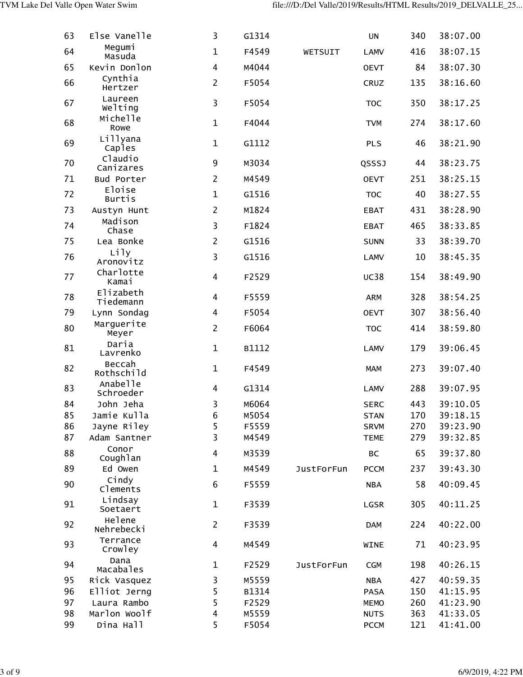| 63 | Else Vanelle            | 3                       | G1314 |                   | <b>UN</b>   | 340 | 38:07.00 |
|----|-------------------------|-------------------------|-------|-------------------|-------------|-----|----------|
| 64 | Megumi<br>Masuda        | $\mathbf{1}$            | F4549 | WETSUIT           | <b>LAMV</b> | 416 | 38:07.15 |
| 65 | Kevin Donlon            | $\overline{\mathbf{4}}$ | M4044 |                   | <b>OEVT</b> | 84  | 38:07.30 |
| 66 | Cynthia<br>Hertzer      | $\overline{2}$          | F5054 |                   | CRUZ        | 135 | 38:16.60 |
| 67 | Laureen<br>Welting      | 3                       | F5054 |                   | <b>TOC</b>  | 350 | 38:17.25 |
| 68 | Michelle<br>Rowe        | $\mathbf{1}$            | F4044 |                   | <b>TVM</b>  | 274 | 38:17.60 |
| 69 | Lillyana<br>Caples      | $\mathbf{1}$            | G1112 |                   | <b>PLS</b>  | 46  | 38:21.90 |
| 70 | Claudio<br>Canizares    | 9                       | M3034 |                   | QSSSJ       | 44  | 38:23.75 |
| 71 | Bud Porter              | $\overline{2}$          | M4549 |                   | <b>OEVT</b> | 251 | 38:25.15 |
| 72 | Eloise<br><b>Burtis</b> | $\mathbf{1}$            | G1516 |                   | <b>TOC</b>  | 40  | 38:27.55 |
| 73 | Austyn Hunt             | $\overline{2}$          | M1824 |                   | <b>EBAT</b> | 431 | 38:28.90 |
| 74 | Madison<br>Chase        | 3                       | F1824 |                   | <b>EBAT</b> | 465 | 38:33.85 |
| 75 | Lea Bonke               | $\overline{2}$          | G1516 |                   | <b>SUNN</b> | 33  | 38:39.70 |
| 76 | Lily<br>Aronovitz       | 3                       | G1516 |                   | <b>LAMV</b> | 10  | 38:45.35 |
| 77 | Charlotte<br>Kamai      | $\overline{\mathbf{4}}$ | F2529 |                   | <b>UC38</b> | 154 | 38:49.90 |
| 78 | Elizabeth<br>Tiedemann  | $\overline{\mathbf{4}}$ | F5559 |                   | <b>ARM</b>  | 328 | 38:54.25 |
| 79 | Lynn Sondag             | $\overline{4}$          | F5054 |                   | <b>OEVT</b> | 307 | 38:56.40 |
| 80 | Marguerite<br>Meyer     | $\overline{2}$          | F6064 |                   | <b>TOC</b>  | 414 | 38:59.80 |
| 81 | Daria<br>Lavrenko       | $\mathbf{1}$            | B1112 |                   | <b>LAMV</b> | 179 | 39:06.45 |
| 82 | Beccah<br>Rothschild    | $\mathbf{1}$            | F4549 |                   | <b>MAM</b>  | 273 | 39:07.40 |
| 83 | Anabelle<br>Schroeder   | 4                       | G1314 |                   | <b>LAMV</b> | 288 | 39:07.95 |
| 84 | John Jeha               | 3                       | M6064 |                   | <b>SERC</b> | 443 | 39:10.05 |
| 85 | Jamie Kulla             | 6                       | M5054 |                   | <b>STAN</b> | 170 | 39:18.15 |
| 86 | Jayne Riley             | 5                       | F5559 |                   | <b>SRVM</b> | 270 | 39:23.90 |
| 87 | Adam Santner            | 3                       | M4549 |                   | <b>TEME</b> | 279 | 39:32.85 |
| 88 | Conor<br>Coughlan       | 4                       | M3539 |                   | BC          | 65  | 39:37.80 |
| 89 | Ed Owen                 | $\mathbf{1}$            | M4549 | <b>JustForFun</b> | <b>PCCM</b> | 237 | 39:43.30 |
| 90 | Cindy<br>Clements       | 6                       | F5559 |                   | <b>NBA</b>  | 58  | 40:09.45 |
| 91 | Lindsay<br>Soetaert     | $\mathbf{1}$            | F3539 |                   | LGSR        | 305 | 40:11.25 |
| 92 | Helene<br>Nehrebecki    | $\overline{2}$          | F3539 |                   | <b>DAM</b>  | 224 | 40:22.00 |
| 93 | Terrance<br>Crowley     | $\overline{\mathbf{4}}$ | M4549 |                   | <b>WINE</b> | 71  | 40:23.95 |
| 94 | Dana<br>Macabales       | $\mathbf 1$             | F2529 | <b>JustForFun</b> | <b>CGM</b>  | 198 | 40:26.15 |
| 95 | Rick Vasquez            | 3                       | M5559 |                   | <b>NBA</b>  | 427 | 40:59.35 |
| 96 | Elliot Jerng            | 5                       | B1314 |                   | <b>PASA</b> | 150 | 41:15.95 |
| 97 | Laura Rambo             | 5                       | F2529 |                   | <b>MEMO</b> | 260 | 41:23.90 |
| 98 | Marlon Woolf            | 4                       | M5559 |                   | <b>NUTS</b> | 363 | 41:33.05 |
| 99 | Dina Hall               | 5                       | F5054 |                   | <b>PCCM</b> | 121 | 41:41.00 |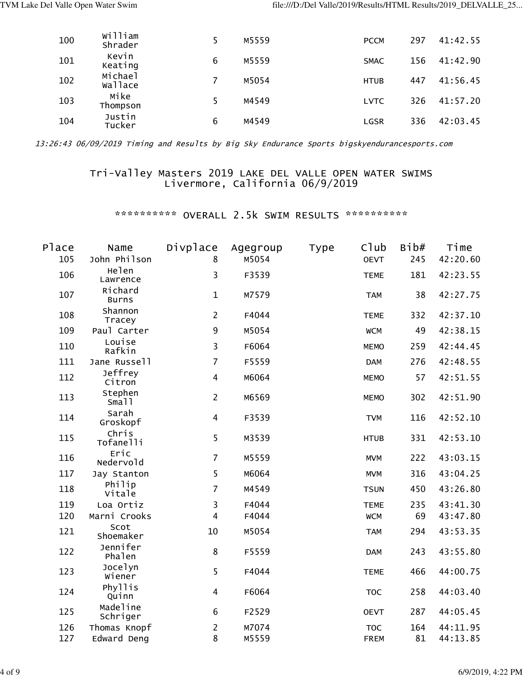| 100 | William<br>Shrader |   | M5559 | <b>PCCM</b> | 297 | 41:42.55 |
|-----|--------------------|---|-------|-------------|-----|----------|
| 101 | Kevin<br>Keating   | 6 | M5559 | <b>SMAC</b> | 156 | 41:42.90 |
| 102 | Michael<br>wallace |   | M5054 | <b>HTUB</b> | 447 | 41:56.45 |
| 103 | Mike<br>Thompson   |   | M4549 | <b>LVTC</b> | 326 | 41:57.20 |
| 104 | Justin<br>Tucker   | 6 | M4549 | LGSR        | 336 | 42:03.45 |

### Tri-Valley Masters 2019 LAKE DEL VALLE OPEN WATER SWIMS Livermore, California 06/9/2019

\*\*\*\*\*\*\*\*\*\*\* OVERALL 2.5k SWIM RESULTS \*\*\*\*\*\*\*\*\*\*\*

| Place | Name                    | Divplace                | Agegroup | <b>Type</b> | C1ub        | Bib# | Time     |
|-------|-------------------------|-------------------------|----------|-------------|-------------|------|----------|
| 105   | John Philson            | 8                       | M5054    |             | <b>OEVT</b> | 245  | 42:20.60 |
| 106   | Helen<br>Lawrence       | 3                       | F3539    |             | <b>TEME</b> | 181  | 42:23.55 |
| 107   | Richard<br><b>Burns</b> | $\mathbf{1}$            | M7579    |             | <b>TAM</b>  | 38   | 42:27.75 |
| 108   | Shannon<br>Tracey       | $\overline{2}$          | F4044    |             | <b>TEME</b> | 332  | 42:37.10 |
| 109   | Paul Carter             | 9                       | M5054    |             | <b>WCM</b>  | 49   | 42:38.15 |
| 110   | Louise<br>Rafkin        | 3                       | F6064    |             | <b>MEMO</b> | 259  | 42:44.45 |
| 111   | Jane Russell            | $\overline{7}$          | F5559    |             | <b>DAM</b>  | 276  | 42:48.55 |
| 112   | Jeffrey<br>Citron       | $\overline{\mathbf{4}}$ | M6064    |             | <b>MEMO</b> | 57   | 42:51.55 |
| 113   | Stephen<br>Sma11        | $\overline{2}$          | M6569    |             | <b>MEMO</b> | 302  | 42:51.90 |
| 114   | Sarah<br>Groskopf       | $\overline{\mathbf{4}}$ | F3539    |             | <b>TVM</b>  | 116  | 42:52.10 |
| 115   | Chris<br>Tofanelli      | 5                       | M3539    |             | <b>HTUB</b> | 331  | 42:53.10 |
| 116   | Eric<br>Nedervold       | $\overline{7}$          | M5559    |             | <b>MVM</b>  | 222  | 43:03.15 |
| 117   | Jay Stanton             | 5                       | M6064    |             | <b>MVM</b>  | 316  | 43:04.25 |
| 118   | Philip<br>Vitale        | $\overline{7}$          | M4549    |             | <b>TSUN</b> | 450  | 43:26.80 |
| 119   | Loa Ortiz               | 3                       | F4044    |             | <b>TEME</b> | 235  | 43:41.30 |
| 120   | Marni Crooks            | $\overline{4}$          | F4044    |             | <b>WCM</b>  | 69   | 43:47.80 |
| 121   | Scot<br>Shoemaker       | 10                      | M5054    |             | <b>TAM</b>  | 294  | 43:53.35 |
| 122   | Jennifer<br>Phalen      | 8                       | F5559    |             | <b>DAM</b>  | 243  | 43:55.80 |
| 123   | Jocelyn<br>Wiener       | 5                       | F4044    |             | <b>TEME</b> | 466  | 44:00.75 |
| 124   | Phyllis<br>Quinn        | $\overline{4}$          | F6064    |             | <b>TOC</b>  | 258  | 44:03.40 |
| 125   | Madeline<br>Schriger    | 6                       | F2529    |             | <b>OEVT</b> | 287  | 44:05.45 |
| 126   | Thomas Knopf            | $\overline{2}$          | M7074    |             | <b>TOC</b>  | 164  | 44:11.95 |
| 127   | Edward Deng             | 8                       | M5559    |             | <b>FREM</b> | 81   | 44:13.85 |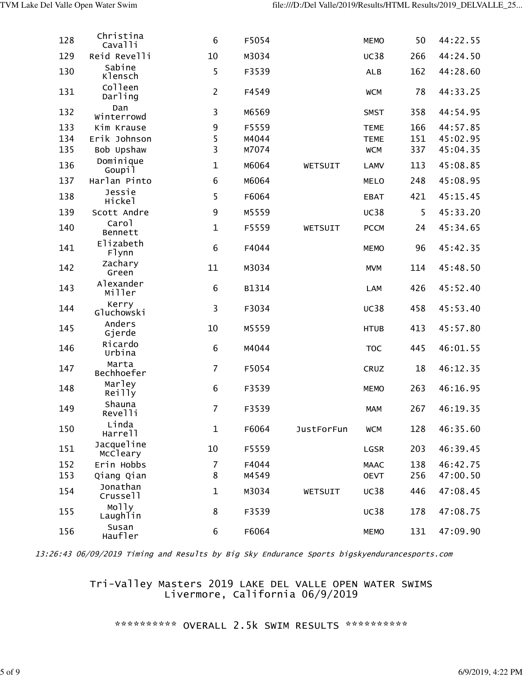| 128 | Christina<br>Cavalli            | $\sqrt{6}$       | F5054 |                   | <b>MEMO</b> | 50  | 44:22.55 |
|-----|---------------------------------|------------------|-------|-------------------|-------------|-----|----------|
| 129 | Reid Revelli                    | 10               | M3034 |                   | <b>UC38</b> | 266 | 44:24.50 |
| 130 | Sabine<br><b>Klensch</b>        | 5                | F3539 |                   | <b>ALB</b>  | 162 | 44:28.60 |
| 131 | Colleen<br>Darling              | $\overline{2}$   | F4549 |                   | <b>WCM</b>  | 78  | 44:33.25 |
| 132 | Dan<br>Winterrowd               | 3                | M6569 |                   | <b>SMST</b> | 358 | 44:54.95 |
| 133 | Kim Krause                      | 9                | F5559 |                   | <b>TEME</b> | 166 | 44:57.85 |
| 134 | Erik Johnson                    | 5                | M4044 |                   | <b>TEME</b> | 151 | 45:02.95 |
| 135 | Bob Upshaw                      | 3                | M7074 |                   | <b>WCM</b>  | 337 | 45:04.35 |
| 136 | Dominique<br>Goupil             | $\mathbf{1}$     | M6064 | WETSUIT           | <b>LAMV</b> | 113 | 45:08.85 |
| 137 | Harlan Pinto                    | 6                | M6064 |                   | <b>MELO</b> | 248 | 45:08.95 |
| 138 | Jessie<br>Hickel                | 5                | F6064 |                   | <b>EBAT</b> | 421 | 45:15.45 |
| 139 | Scott Andre                     | $\boldsymbol{9}$ | M5559 |                   | <b>UC38</b> | 5   | 45:33.20 |
| 140 | Carol<br>Bennett                | $\mathbf{1}$     | F5559 | WETSUIT           | <b>PCCM</b> | 24  | 45:34.65 |
| 141 | Elizabeth<br>F <sub>1</sub> ynn | $\sqrt{6}$       | F4044 |                   | <b>MEMO</b> | 96  | 45:42.35 |
| 142 | Zachary<br>Green                | 11               | M3034 |                   | <b>MVM</b>  | 114 | 45:48.50 |
| 143 | Alexander<br>Miller             | $\sqrt{6}$       | B1314 |                   | <b>LAM</b>  | 426 | 45:52.40 |
| 144 | Kerry<br>Gluchowski             | 3                | F3034 |                   | <b>UC38</b> | 458 | 45:53.40 |
| 145 | Anders<br>Gjerde                | 10               | M5559 |                   | <b>HTUB</b> | 413 | 45:57.80 |
| 146 | Ricardo<br>Urbina               | $\sqrt{6}$       | M4044 |                   | <b>TOC</b>  | 445 | 46:01.55 |
| 147 | Marta<br>Bechhoefer             | $\overline{7}$   | F5054 |                   | CRUZ        | 18  | 46:12.35 |
| 148 | Marley<br>Reilly                | 6                | F3539 |                   | <b>MEMO</b> | 263 | 46:16.95 |
| 149 | Shauna<br>Revelli               | $\overline{7}$   | F3539 |                   | <b>MAM</b>  | 267 | 46:19.35 |
| 150 | Linda<br>Harrell                | $\mathbf{1}$     | F6064 | <b>JustForFun</b> | <b>WCM</b>  | 128 | 46:35.60 |
| 151 | Jacqueline<br>McCleary          | 10               | F5559 |                   | LGSR        | 203 | 46:39.45 |
| 152 | Erin Hobbs                      | $\overline{7}$   | F4044 |                   | <b>MAAC</b> | 138 | 46:42.75 |
| 153 | Qiang Qian                      | 8                | M4549 |                   | <b>OEVT</b> | 256 | 47:00.50 |
| 154 | Jonathan<br>Crussell            | $\mathbf{1}$     | M3034 | WETSUIT           | <b>UC38</b> | 446 | 47:08.45 |
| 155 | Molly<br>Laughlin               | 8                | F3539 |                   | <b>UC38</b> | 178 | 47:08.75 |
| 156 | Susan<br>Haufler                | 6                | F6064 |                   | <b>MEMO</b> | 131 | 47:09.90 |

#### Tri-Valley Masters 2019 LAKE DEL VALLE OPEN WATER SWIMS Livermore, California 06/9/2019

# \*\*\*\*\*\*\*\*\*\* OVERALL 2.5k SWIM RESULTS \*\*\*\*\*\*\*\*\*\*\*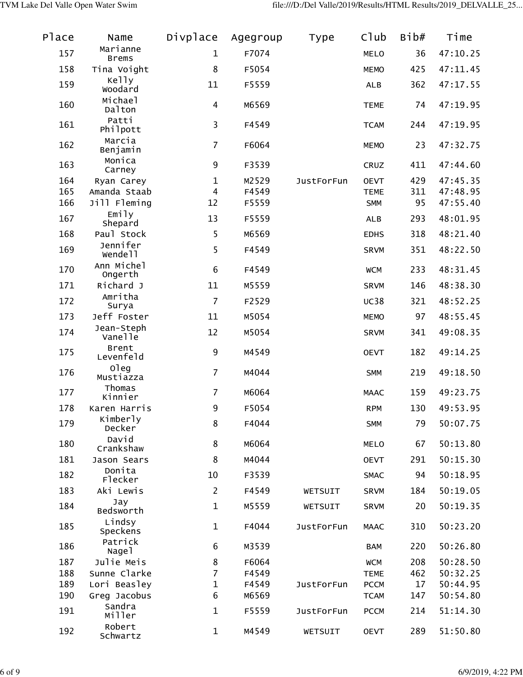| Place | Name                            | Divplace       | Agegroup | <b>Type</b>       | C1ub        | Bib# | Time     |
|-------|---------------------------------|----------------|----------|-------------------|-------------|------|----------|
| 157   | Marianne<br><b>Brems</b>        | 1              | F7074    |                   | <b>MELO</b> | 36   | 47:10.25 |
| 158   | Tina Voight                     | 8              | F5054    |                   | <b>MEMO</b> | 425  | 47:11.45 |
| 159   | Kelly<br>Woodard                | 11             | F5559    |                   | <b>ALB</b>  | 362  | 47:17.55 |
| 160   | Michael<br>Dalton               | $\overline{4}$ | M6569    |                   | <b>TEME</b> | 74   | 47:19.95 |
| 161   | Patti<br>Philpott               | 3              | F4549    |                   | <b>TCAM</b> | 244  | 47:19.95 |
| 162   | Marcia<br>Benjamin              | $\overline{7}$ | F6064    |                   | <b>MEMO</b> | 23   | 47:32.75 |
| 163   | Monica<br>Carney                | 9              | F3539    |                   | CRUZ        | 411  | 47:44.60 |
| 164   | Ryan Carey                      | 1              | M2529    | <b>JustForFun</b> | <b>OEVT</b> | 429  | 47:45.35 |
| 165   | Amanda Staab                    | 4              | F4549    |                   | <b>TEME</b> | 311  | 47:48.95 |
| 166   | Jill Fleming                    | 12             | F5559    |                   | <b>SMM</b>  | 95   | 47:55.40 |
| 167   | Emily<br>Shepard                | 13             | F5559    |                   | <b>ALB</b>  | 293  | 48:01.95 |
| 168   | Paul Stock                      | 5              | M6569    |                   | <b>EDHS</b> | 318  | 48:21.40 |
| 169   | Jennifer<br>Wende <sub>11</sub> | 5              | F4549    |                   | <b>SRVM</b> | 351  | 48:22.50 |
| 170   | Ann Michel<br>Ongerth           | 6              | F4549    |                   | <b>WCM</b>  | 233  | 48:31.45 |
| 171   | Richard J                       | 11             | M5559    |                   | <b>SRVM</b> | 146  | 48:38.30 |
| 172   | Amritha<br>Surya                | $\overline{7}$ | F2529    |                   | <b>UC38</b> | 321  | 48:52.25 |
| 173   | Jeff Foster                     | 11             | M5054    |                   | <b>MEMO</b> | 97   | 48:55.45 |
| 174   | Jean-Steph<br>Vanelle           | 12             | M5054    |                   | <b>SRVM</b> | 341  | 49:08.35 |
| 175   | Brent<br>Levenfeld              | 9              | M4549    |                   | <b>OEVT</b> | 182  | 49:14.25 |
| 176   | oleg<br>Mustiazza               | $\overline{7}$ | M4044    |                   | <b>SMM</b>  | 219  | 49:18.50 |
| 177   | Thomas<br>Kinnier               | $\overline{7}$ | M6064    |                   | <b>MAAC</b> | 159  | 49:23.75 |
| 178   | Karen Harris                    | 9              | F5054    |                   | <b>RPM</b>  | 130  | 49:53.95 |
| 179   | Kimberly<br>Decker              | 8              | F4044    |                   | <b>SMM</b>  | 79   | 50:07.75 |
| 180   | David<br>Crankshaw              | 8              | M6064    |                   | <b>MELO</b> | 67   | 50:13.80 |
| 181   | Jason Sears                     | 8              | M4044    |                   | <b>OEVT</b> | 291  | 50:15.30 |
| 182   | Donita<br>Flecker               | 10             | F3539    |                   | <b>SMAC</b> | 94   | 50:18.95 |
| 183   | Aki Lewis                       | $\overline{2}$ | F4549    | WETSUIT           | <b>SRVM</b> | 184  | 50:19.05 |
| 184   | Jay<br>Bedsworth                | $\mathbf 1$    | M5559    | WETSUIT           | <b>SRVM</b> | 20   | 50:19.35 |
| 185   | Lindsy<br>Speckens              | $\mathbf 1$    | F4044    | <b>JustForFun</b> | <b>MAAC</b> | 310  | 50:23.20 |
| 186   | Patrick<br>Nage1                | 6              | M3539    |                   | <b>BAM</b>  | 220  | 50:26.80 |
| 187   | Julie Meis                      | 8              | F6064    |                   | <b>WCM</b>  | 208  | 50:28.50 |
| 188   | Sunne Clarke                    | 7              | F4549    |                   | <b>TEME</b> | 462  | 50:32.25 |
| 189   | Lori Beasley                    | 1              | F4549    | <b>JustForFun</b> | <b>PCCM</b> | 17   | 50:44.95 |
| 190   | Greg Jacobus                    | 6              | M6569    |                   | <b>TCAM</b> | 147  | 50:54.80 |
| 191   | Sandra<br>Miller                | $\mathbf 1$    | F5559    | <b>JustForFun</b> | <b>PCCM</b> | 214  | 51:14.30 |
| 192   | Robert<br>Schwartz              | $\mathbf 1$    | M4549    | WETSUIT           | <b>OEVT</b> | 289  | 51:50.80 |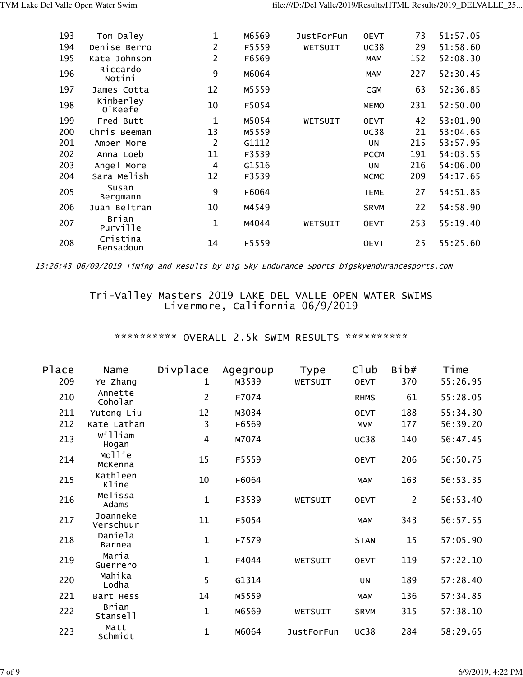| 193 | Tom Daley             | 1            | M6569 | <b>JustForFun</b> | <b>OEVT</b> | 73  | 51:57.05 |
|-----|-----------------------|--------------|-------|-------------------|-------------|-----|----------|
| 194 | Denise Berro          | 2            | F5559 | WETSUIT           | <b>UC38</b> | 29  | 51:58.60 |
| 195 | Kate Johnson          | 2            | F6569 |                   | <b>MAM</b>  | 152 | 52:08.30 |
| 196 | Riccardo<br>Notini    | 9            | M6064 |                   | <b>MAM</b>  | 227 | 52:30.45 |
| 197 | James Cotta           | 12           | M5559 |                   | <b>CGM</b>  | 63  | 52:36.85 |
| 198 | Kimberley<br>0'Keefe  | 10           | F5054 |                   | <b>MEMO</b> | 231 | 52:50.00 |
| 199 | Fred Butt             | $\mathbf{1}$ | M5054 | WETSUIT           | <b>OEVT</b> | 42  | 53:01.90 |
| 200 | Chris Beeman          | 13           | M5559 |                   | <b>UC38</b> | 21  | 53:04.65 |
| 201 | Amber More            | 2            | G1112 |                   | UN          | 215 | 53:57.95 |
| 202 | Anna Loeb             | 11           | F3539 |                   | <b>PCCM</b> | 191 | 54:03.55 |
| 203 | Angel More            | 4            | G1516 |                   | UN          | 216 | 54:06.00 |
| 204 | Sara Melish           | 12           | F3539 |                   | <b>MCMC</b> | 209 | 54:17.65 |
| 205 | Susan<br>Bergmann     | 9            | F6064 |                   | <b>TEME</b> | 27  | 54:51.85 |
| 206 | Juan Beltran          | 10           | M4549 |                   | <b>SRVM</b> | 22  | 54:58.90 |
| 207 | Brian<br>Purville     | 1            | M4044 | WETSUIT           | <b>OEVT</b> | 253 | 55:19.40 |
| 208 | Cristina<br>Bensadoun | 14           | F5559 |                   | <b>OEVT</b> | 25  | 55:25.60 |

## Tri-Valley Masters 2019 LAKE DEL VALLE OPEN WATER SWIMS Livermore, California 06/9/2019

# \*\*\*\*\*\*\*\*\*\* OVERALL 2.5k SWIM RESULTS \*\*\*\*\*\*\*\*\*\*\*

| Place | Name                  | Divplace       | Agegroup | <b>Type</b>       | Club        | Bib#           | Time     |
|-------|-----------------------|----------------|----------|-------------------|-------------|----------------|----------|
| 209   | Ye Zhang              | 1              | M3539    | WETSUIT           | <b>OEVT</b> | 370            | 55:26.95 |
| 210   | Annette<br>Coholan    | $\overline{2}$ | F7074    |                   | <b>RHMS</b> | 61             | 55:28.05 |
| 211   | Yutong Liu            | 12             | M3034    |                   | <b>OEVT</b> | 188            | 55:34.30 |
| 212   | Kate Latham           | 3              | F6569    |                   | <b>MVM</b>  | 177            | 56:39.20 |
| 213   | William<br>Hogan      | $\overline{4}$ | M7074    |                   | <b>UC38</b> | 140            | 56:47.45 |
| 214   | Mollie<br>McKenna     | 15             | F5559    |                   | <b>OEVT</b> | 206            | 56:50.75 |
| 215   | Kathleen<br>Kline     | 10             | F6064    |                   | <b>MAM</b>  | 163            | 56:53.35 |
| 216   | Melissa<br>Adams      | $\mathbf{1}$   | F3539    | WETSUIT           | <b>OEVT</b> | $\overline{2}$ | 56:53.40 |
| 217   | Joanneke<br>Verschuur | 11             | F5054    |                   | <b>MAM</b>  | 343            | 56:57.55 |
| 218   | Daniela<br>Barnea     | $\mathbf{1}$   | F7579    |                   | <b>STAN</b> | 15             | 57:05.90 |
| 219   | Maria<br>Guerrero     | $\mathbf{1}$   | F4044    | WETSUIT           | <b>OEVT</b> | 119            | 57:22.10 |
| 220   | Mahika<br>Lodha       | 5              | G1314    |                   | <b>UN</b>   | 189            | 57:28.40 |
| 221   | Bart Hess             | 14             | M5559    |                   | <b>MAM</b>  | 136            | 57:34.85 |
| 222   | Brian<br>Stansell     | $\mathbf{1}$   | M6569    | WETSUIT           | <b>SRVM</b> | 315            | 57:38.10 |
| 223   | Matt<br>Schmidt       | $\mathbf{1}$   | M6064    | <b>JustForFun</b> | <b>UC38</b> | 284            | 58:29.65 |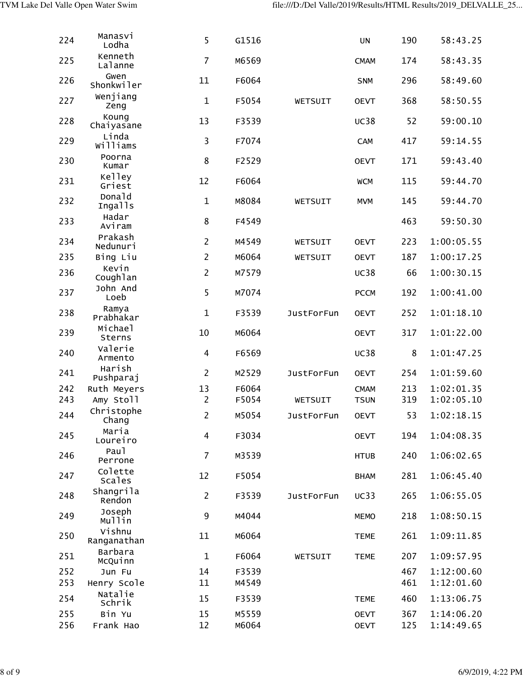| 224 | Manasvi<br>Lodha         | 5                | G1516 |                   | <b>UN</b>   | 190 | 58:43.25   |
|-----|--------------------------|------------------|-------|-------------------|-------------|-----|------------|
| 225 | Kenneth<br>Lalanne       | $\overline{7}$   | M6569 |                   | <b>CMAM</b> | 174 | 58:43.35   |
| 226 | Gwen<br>Shonkwiler       | 11               | F6064 |                   | <b>SNM</b>  | 296 | 58:49.60   |
| 227 | Wenjiang<br>Zeng         | $\mathbf 1$      | F5054 | WETSUIT           | <b>OEVT</b> | 368 | 58:50.55   |
| 228 | Koung<br>Chaiyasane      | 13               | F3539 |                   | <b>UC38</b> | 52  | 59:00.10   |
| 229 | Linda<br>Williams        | 3                | F7074 |                   | CAM         | 417 | 59:14.55   |
| 230 | Poorna<br>Kumar          | 8                | F2529 |                   | <b>OEVT</b> | 171 | 59:43.40   |
| 231 | Kelley<br>Griest         | 12               | F6064 |                   | <b>WCM</b>  | 115 | 59:44.70   |
| 232 | Donald<br><b>Ingalls</b> | $\mathbf{1}$     | M8084 | WETSUIT           | <b>MVM</b>  | 145 | 59:44.70   |
| 233 | Hadar<br>Aviram          | 8                | F4549 |                   |             | 463 | 59:50.30   |
| 234 | Prakash<br>Nedunuri      | $\overline{2}$   | M4549 | WETSUIT           | <b>OEVT</b> | 223 | 1:00:05.55 |
| 235 | Bing Liu                 | $\overline{2}$   | M6064 | WETSUIT           | <b>OEVT</b> | 187 | 1:00:17.25 |
| 236 | Kevin<br>Coughlan        | $\overline{2}$   | M7579 |                   | <b>UC38</b> | 66  | 1:00:30.15 |
| 237 | John And<br>Loeb         | 5                | M7074 |                   | <b>PCCM</b> | 192 | 1:00:41.00 |
| 238 | Ramya<br>Prabhakar       | $\mathbf{1}$     | F3539 | <b>JustForFun</b> | <b>OEVT</b> | 252 | 1:01:18.10 |
| 239 | Michael<br>Sterns        | 10               | M6064 |                   | <b>OEVT</b> | 317 | 1:01:22.00 |
| 240 | Valerie<br>Armento       | $\overline{4}$   | F6569 |                   | <b>UC38</b> | 8   | 1:01:47.25 |
| 241 | Harish<br>Pushparaj      | $\overline{2}$   | M2529 | <b>JustForFun</b> | <b>OEVT</b> | 254 | 1:01:59.60 |
| 242 | Ruth Meyers              | 13               | F6064 |                   | <b>CMAM</b> | 213 | 1:02:01.35 |
| 243 | Amy Stoll                | $\overline{2}$   | F5054 | WETSUIT           | <b>TSUN</b> | 319 | 1:02:05.10 |
| 244 | Christophe<br>Chang      | 2                | M5054 | <b>JustForFun</b> | <b>OEVT</b> | 53  | 1:02:18.15 |
| 245 | Maria<br>Loureiro        | $\overline{4}$   | F3034 |                   | <b>OEVT</b> | 194 | 1:04:08.35 |
| 246 | Pau1<br>Perrone          | $\overline{7}$   | M3539 |                   | <b>HTUB</b> | 240 | 1:06:02.65 |
| 247 | Colette<br>Scales        | 12               | F5054 |                   | <b>BHAM</b> | 281 | 1:06:45.40 |
| 248 | Shangrila<br>Rendon      | $\overline{2}$   | F3539 | <b>JustForFun</b> | UC33        | 265 | 1:06:55.05 |
| 249 | Joseph<br>Mullin         | $\boldsymbol{9}$ | M4044 |                   | <b>MEMO</b> | 218 | 1:08:50.15 |
| 250 | Vishnu<br>Ranganathan    | 11               | M6064 |                   | <b>TEME</b> | 261 | 1:09:11.85 |
| 251 | Barbara<br>McQuinn       | $\mathbf{1}$     | F6064 | WETSUIT           | <b>TEME</b> | 207 | 1:09:57.95 |
| 252 | Jun Fu                   | 14               | F3539 |                   |             | 467 | 1:12:00.60 |
| 253 | Henry Scole              | 11               | M4549 |                   |             | 461 | 1:12:01.60 |
| 254 | Natalie<br>Schrik        | 15               | F3539 |                   | <b>TEME</b> | 460 | 1:13:06.75 |
| 255 | Bin Yu                   | 15               | M5559 |                   | <b>OEVT</b> | 367 | 1:14:06.20 |
| 256 | Frank Hao                | 12               | M6064 |                   | <b>OEVT</b> | 125 | 1:14:49.65 |